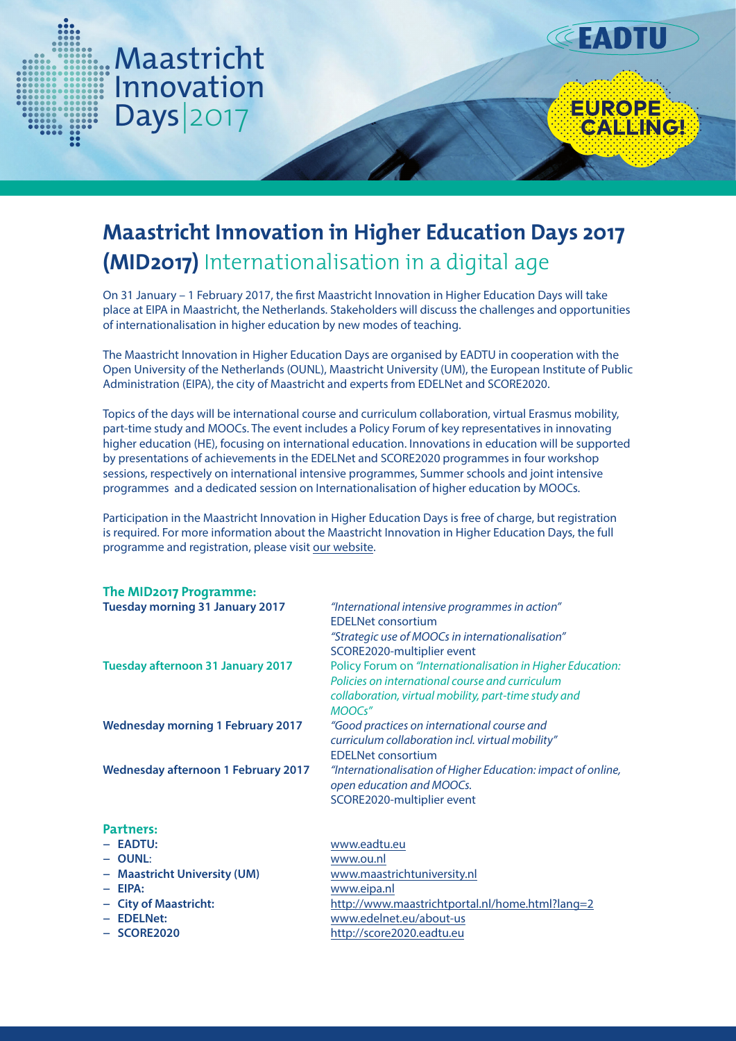

# **Maastricht Innovation in Higher Education Days 2017 (MID2017)** Internationalisation in a digital age

**EADTU** 

EUROPE<br>CALLINGI

On 31 January – 1 February 2017, the first Maastricht Innovation in Higher Education Days will take place at EIPA in Maastricht, the Netherlands. Stakeholders will discuss the challenges and opportunities of internationalisation in higher education by new modes of teaching.

The Maastricht Innovation in Higher Education Days are organised by EADTU in cooperation with the Open University of the Netherlands (OUNL), Maastricht University (UM), the European Institute of Public Administration (EIPA), the city of Maastricht and experts from EDELNet and SCORE2020.

Topics of the days will be international course and curriculum collaboration, virtual Erasmus mobility, part-time study and MOOCs. The event includes a Policy Forum of key representatives in innovating higher education (HE), focusing on international education. Innovations in education will be supported by presentations of achievements in the EDELNet and SCORE2020 programmes in four workshop sessions, respectively on international intensive programmes, Summer schools and joint intensive programmes and a dedicated session on Internationalisation of higher education by MOOCs.

Participation in the Maastricht Innovation in Higher Education Days is free of charge, but registration is required. For more information about the Maastricht Innovation in Higher Education Days, the full programme and registration, please visit our website.

| The MID2017 Programme:                                 |                                                                                                                                                                                 |
|--------------------------------------------------------|---------------------------------------------------------------------------------------------------------------------------------------------------------------------------------|
| <b>Tuesday morning 31 January 2017</b>                 | "International intensive programmes in action"<br><b>EDELNet consortium</b><br>"Strategic use of MOOCs in internationalisation"<br>SCORE2020-multiplier event                   |
| <b>Tuesday afternoon 31 January 2017</b>               | Policy Forum on "Internationalisation in Higher Education:<br>Policies on international course and curriculum<br>collaboration, virtual mobility, part-time study and<br>MOOCs" |
| <b>Wednesday morning 1 February 2017</b>               | "Good practices on international course and<br>curriculum collaboration incl. virtual mobility"<br><b>EDELNet consortium</b>                                                    |
| <b>Wednesday afternoon 1 February 2017</b>             | "Internationalisation of Higher Education: impact of online,<br>open education and MOOCs.<br>SCORE2020-multiplier event                                                         |
| Partners:                                              |                                                                                                                                                                                 |
| - EADTU:                                               | www.eadtu.eu                                                                                                                                                                    |
| $-$ OUNL:                                              | www.ou.nl                                                                                                                                                                       |
| <b>Maastricht University (UM)</b><br>$\qquad \qquad -$ | www.maastrichtuniversity.nl                                                                                                                                                     |
| $-$ EIPA:                                              | www.eipa.nl                                                                                                                                                                     |
| - City of Maastricht:                                  | http://www.maastrichtportal.nl/home.html?lang=2                                                                                                                                 |
| - EDELNet:                                             | www.edelnet.eu/about-us                                                                                                                                                         |

**− SCORE2020** http://score2020.eadtu.eu